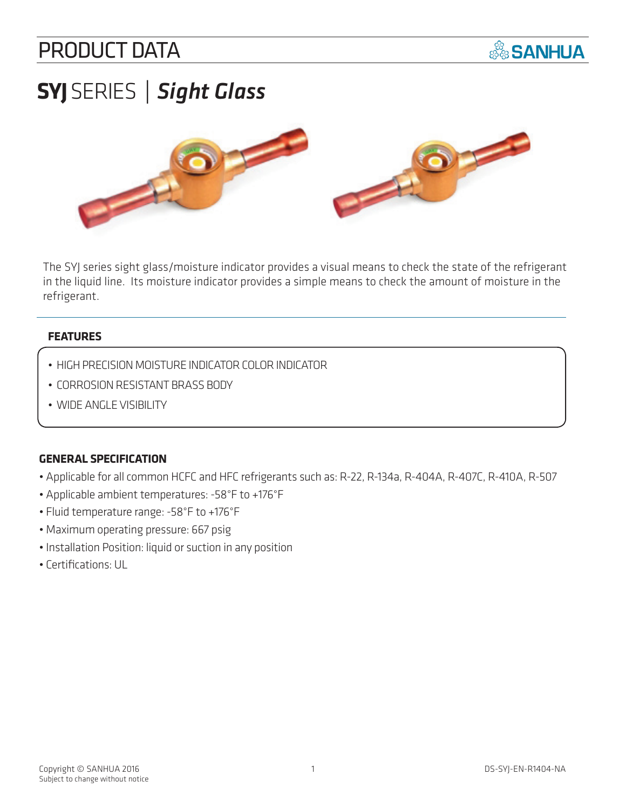### PRODUCT DATA



# **SYJ** SERIES *| Sight Glass*



The SYJ series sight glass/moisture indicator provides a visual means to check the state of the refrigerant in the liquid line. Its moisture indicator provides a simple means to check the amount of moisture in the refrigerant.

#### **FEATURES**

- HIGH PRECISION MOISTURE INDICATOR COLOR INDICATOR
- CORROSION RESISTANT BRASS BODY
- WIDE ANGLE VISIBILITY

#### **GENERAL SPECIFICATION**

- Applicable for all common HCFC and HFC refrigerants such as: R-22, R-134a, R-404A, R-407C, R-410A, R-507
- Applicable ambient temperatures: -58°F to +176°F
- Fluid temperature range: -58°F to +176°F
- Maximum operating pressure: 667 psig
- Installation Position: liquid or suction in any position
- Certifications: UL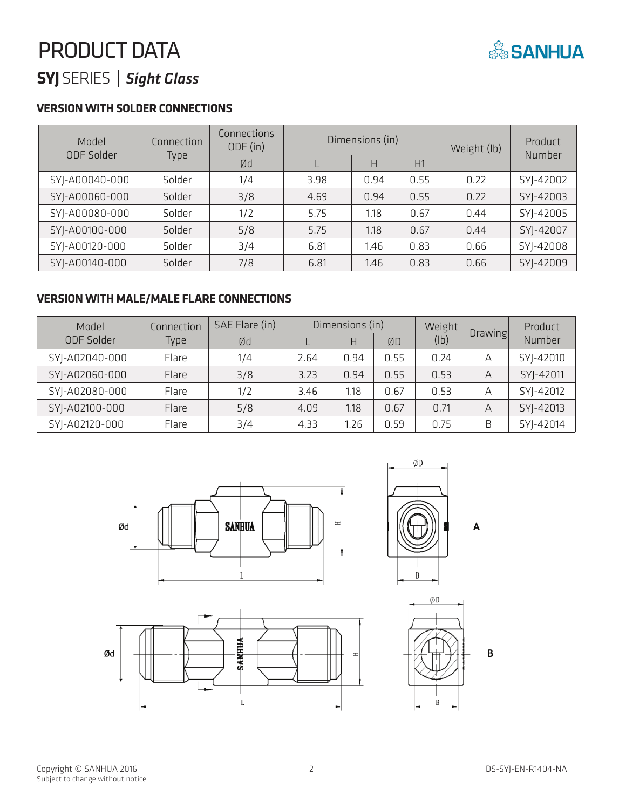## PRODUCT DATA



### **SYJ** SERIES *| Sight Glass*

#### **VERSION WITH SOLDER CONNECTIONS**

| Model             | Connection | Connections<br>ODF (in) | Dimensions (in) |      |      | Weight (lb) | Product<br>Number |
|-------------------|------------|-------------------------|-----------------|------|------|-------------|-------------------|
| <b>ODF Solder</b> | Type       | Ød                      |                 | H    | H1   |             |                   |
| SYJ-A00040-000    | Solder     | 1/4                     | 3.98            | 0.94 | 0.55 | 0.22        | SYJ-42002         |
| SYJ-A00060-000    | Solder     | 3/8                     | 4.69            | 0.94 | 0.55 | 0.22        | SYJ-42003         |
| SYJ-A00080-000    | Solder     | 1/2                     | 5.75            | 1.18 | 0.67 | 0.44        | SYJ-42005         |
| SYJ-A00100-000    | Solder     | 5/8                     | 5.75            | 1.18 | 0.67 | 0.44        | SYJ-42007         |
| SYJ-A00120-000    | Solder     | 3/4                     | 6.81            | 1.46 | 0.83 | 0.66        | SYJ-42008         |
| SYJ-A00140-000    | Solder     | 7/8                     | 6.81            | 1.46 | 0.83 | 0.66        | SYJ-42009         |

#### **VERSION WITH MALE/MALE FLARE CONNECTIONS**

| Model          | SAE Flare (in)<br>Connection |     | Dimensions (in) |      |      | Weight |         | Product   |
|----------------|------------------------------|-----|-----------------|------|------|--------|---------|-----------|
| ODF Solder     | Type                         | Ød  |                 | Н    | ØD   | (lb)   | Drawing | Number    |
| SYJ-A02040-000 | Flare                        | 1/4 | 2.64            | 0.94 | 0.55 | 0.24   | А       | SYJ-42010 |
| SYJ-A02060-000 | Flare                        | 3/8 | 3.23            | 0.94 | 0.55 | 0.53   | А       | SYJ-42011 |
| SYJ-A02080-000 | Flare                        | 1/2 | 3.46            | 1.18 | 0.67 | 0.53   | А       | SYJ-42012 |
| SYJ-A02100-000 | Flare                        | 5/8 | 4.09            | 1.18 | 0.67 | 0.71   | А       | SYJ-42013 |
| SYJ-A02120-000 | Flare                        | 3/4 | 4.33            | 1.26 | 0.59 | 0.75   | B       | SYJ-42014 |









 $\overline{B}$